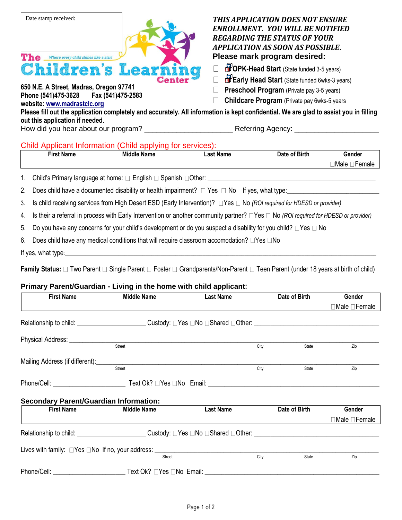

**650 N.E. A Street, Madras, Oregon 97741 Phone (541)475-3628 Fax (541)475-2583 website: [www.madrastclc.org](http://www.madrastclc.org/)**

# *THIS APPLICATION DOES NOT ENSURE ENROLLMENT. YOU WILL BE NOTIFIED REGARDING THE STATUS OF YOUR APPLICATION AS SOON AS POSSIBLE***. Please mark program desired:**

- **DPK-Head Start** (State funded 3-5 years)  $\Box$
- $\Box$ **Early Head Start** (State funded 6wks-3 years)
- **Preschool Program** (Private pay 3-5 years)  $\Box$
- □ Childcare Program (Private pay 6wks-5 years

**Please fill out the application completely and accurately. All information is kept confidential. We are glad to assist you in filling out this application if needed.** How did you hear about our program? \_\_\_\_\_\_\_\_\_\_\_\_\_\_\_\_\_\_\_\_\_\_ Referring Agency: \_\_\_\_\_\_\_\_\_\_\_\_\_\_\_\_\_\_\_\_\_

# Child Applicant Information (Child applying for services):

| First Name | <b>Middle</b><br><b>Name</b> | <b>Last Name</b> | Date of Birth | Gender         |
|------------|------------------------------|------------------|---------------|----------------|
|            |                              |                  |               | ∃Male<br>rialt |
|            |                              |                  |               |                |

1. Child's Primary language at home:  $\square$  English  $\square$  Spanish  $\square$  Other:

2. Does child have a documented disability or health impairment?  $\Box$  Yes  $\Box$  No If yes, what type:

3. Is child receiving services from High Desert ESD (Early Intervention)?  $\Box$  Yes  $\Box$  No *(ROI required for HDESD or provider)* 

4. Is their a referral in process with Early Intervention or another community partner? Yes No *(ROI required for HDESD or provider)*

5. Do you have any concerns for your child's development or do you suspect a disability for you child?  $\Box$  Yes  $\Box$  No

6. Does child have any medical conditions that will require classroom accomodation?  $\Box$  Yes  $\Box$  No

If yes, what type:

**Family Status:** □ Two Parent □ Single Parent □ Foster □ Grandparents/Non-Parent □ Teen Parent (under 18 years at birth of child)

## **Primary Parent/Guardian - Living in the home with child applicant:**

| <b>First Name</b>                             | <b>Middle Name</b>                                                                                                   | <b>Last Name</b> |      | Date of Birth | Gender                    |
|-----------------------------------------------|----------------------------------------------------------------------------------------------------------------------|------------------|------|---------------|---------------------------|
|                                               |                                                                                                                      |                  |      |               | □Male □Female             |
|                                               | Relationship to child: ___________________________Custody: □Yes □No □Shared □Other: ________________________________ |                  |      |               |                           |
|                                               |                                                                                                                      |                  |      |               |                           |
|                                               |                                                                                                                      |                  | City | State         | Zip                       |
|                                               |                                                                                                                      |                  |      |               |                           |
|                                               | Street                                                                                                               |                  | City | State         | Zip                       |
|                                               |                                                                                                                      |                  |      |               |                           |
| <b>Secondary Parent/Guardian Information:</b> |                                                                                                                      |                  |      |               |                           |
| <b>First Name</b>                             | <b>Middle Name</b>                                                                                                   | <b>Last Name</b> |      | Date of Birth | Gender                    |
|                                               |                                                                                                                      |                  |      |               | $\Box$ Male $\Box$ Female |
|                                               | Relationship to child: Custody: □Yes □No □Shared □Other: Custody: □Yes □No □Shared □Other:                           |                  |      |               |                           |
|                                               |                                                                                                                      |                  |      |               |                           |
|                                               | Street                                                                                                               |                  | City | State         | Zip                       |
|                                               |                                                                                                                      |                  |      |               |                           |